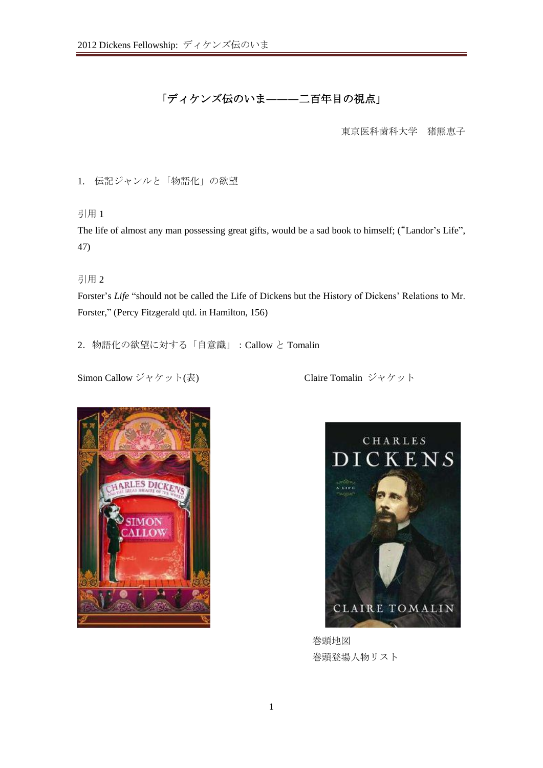# 「ディケンズ伝のいま**―――**二百年目の視点」

東京医科歯科大学 猪熊恵子

1. 伝記ジャンルと「物語化」の欲望

引用 1

The life of almost any man possessing great gifts, would be a sad book to himself; ("Landor's Life", 47)

引用 2

Forster's *Life* "should not be called the Life of Dickens but the History of Dickens' Relations to Mr. Forster," (Percy Fitzgerald qtd. in Hamilton, 156)

2.物語化の欲望に対する「自意識」:Callow と Tomalin

Simon Callow ジャケット(表) Claire Tomalin ジャケット





巻頭地図 巻頭登場人物リスト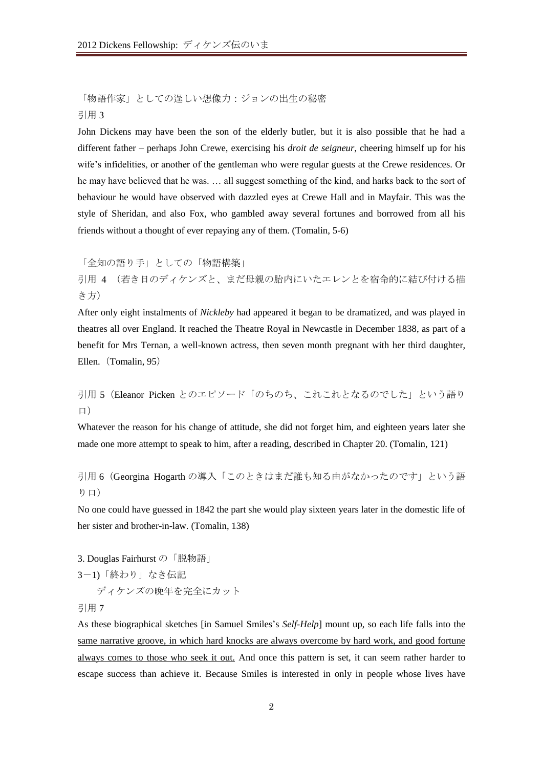「物語作家」としての逞しい想像力:ジョンの出生の秘密 引用 3

John Dickens may have been the son of the elderly butler, but it is also possible that he had a different father – perhaps John Crewe, exercising his *droit de seigneur*, cheering himself up for his wife's infidelities, or another of the gentleman who were regular guests at the Crewe residences. Or he may have believed that he was. … all suggest something of the kind, and harks back to the sort of behaviour he would have observed with dazzled eyes at Crewe Hall and in Mayfair. This was the style of Sheridan, and also Fox, who gambled away several fortunes and borrowed from all his friends without a thought of ever repaying any of them. (Tomalin, 5-6)

「全知の語り手」としての「物語構築」

引用 4 (若き日のディケンズと、まだ母親の胎内にいたエレンとを宿命的に結び付ける描 き方)

After only eight instalments of *Nickleby* had appeared it began to be dramatized, and was played in theatres all over England. It reached the Theatre Royal in Newcastle in December 1838, as part of a benefit for Mrs Ternan, a well-known actress, then seven month pregnant with her third daughter, Ellen. (Tomalin, 95)

引用 5 (Eleanor Picken とのエピソード「のちのち、これこれとなるのでした」という語り 口)

Whatever the reason for his change of attitude, she did not forget him, and eighteen years later she made one more attempt to speak to him, after a reading, described in Chapter 20. (Tomalin, 121)

引用 6 (Georgina Hogarth の導入「このときはまだ誰も知る由がなかったのです」という語 り口)

No one could have guessed in 1842 the part she would play sixteen years later in the domestic life of her sister and brother-in-law. (Tomalin, 138)

3. Douglas Fairhurst の「脱物語」 3-1)「終わり」なき伝記 ディケンズの晩年を完全にカット

引用 7

As these biographical sketches [in Samuel Smiles's *Self-Help*] mount up, so each life falls into the same narrative groove, in which hard knocks are always overcome by hard work, and good fortune always comes to those who seek it out. And once this pattern is set, it can seem rather harder to escape success than achieve it. Because Smiles is interested in only in people whose lives have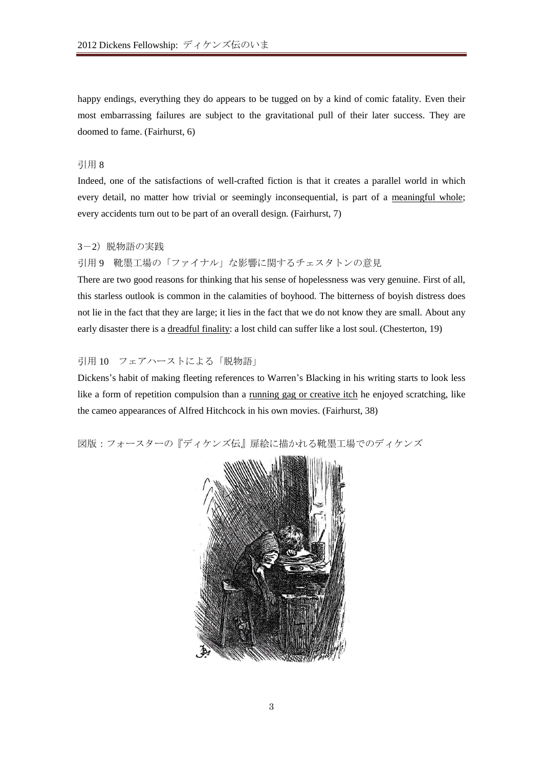happy endings, everything they do appears to be tugged on by a kind of comic fatality. Even their most embarrassing failures are subject to the gravitational pull of their later success. They are doomed to fame. (Fairhurst, 6)

# 引用 8

Indeed, one of the satisfactions of well-crafted fiction is that it creates a parallel world in which every detail, no matter how trivial or seemingly inconsequential, is part of a meaningful whole; every accidents turn out to be part of an overall design. (Fairhurst, 7)

#### 3-2) 脱物語の実践

## 引用 9 靴墨工場の「ファイナル」な影響に関するチェスタトンの意見

There are two good reasons for thinking that his sense of hopelessness was very genuine. First of all, this starless outlook is common in the calamities of boyhood. The bitterness of boyish distress does not lie in the fact that they are large; it lies in the fact that we do not know they are small. About any early disaster there is a dreadful finality: a lost child can suffer like a lost soul. (Chesterton, 19)

# 引用 10 フェアハーストによる「脱物語」

Dickens's habit of making fleeting references to Warren's Blacking in his writing starts to look less like a form of repetition compulsion than a <u>running gag or creative itch</u> he enjoyed scratching, like the cameo appearances of Alfred Hitchcock in his own movies. (Fairhurst, 38)

図版:フォースターの『ディケンズ伝』扉絵に描かれる靴墨工場でのディケンズ

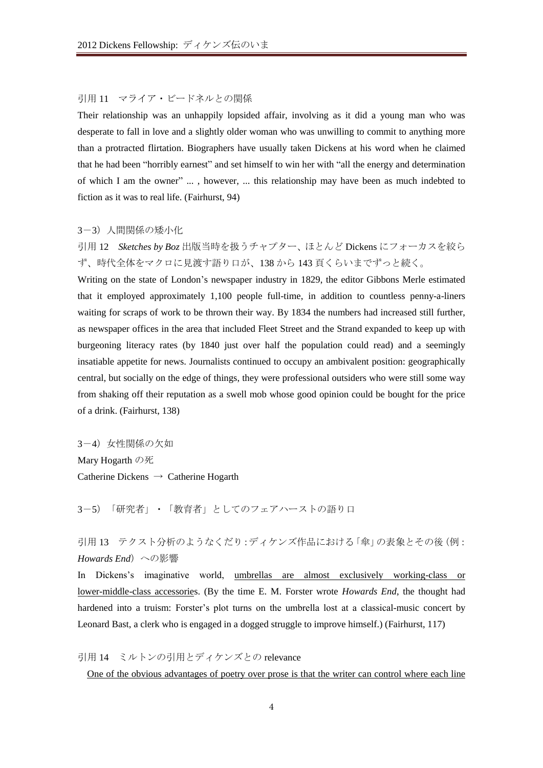# 引用 11 マライア・ビードネルとの関係

Their relationship was an unhappily lopsided affair, involving as it did a young man who was desperate to fall in love and a slightly older woman who was unwilling to commit to anything more than a protracted flirtation. Biographers have usually taken Dickens at his word when he claimed that he had been "horribly earnest" and set himself to win her with "all the energy and determination of which I am the owner" ... , however, ... this relationship may have been as much indebted to fiction as it was to real life. (Fairhurst, 94)

#### 3-3) 人間関係の矮小化

引用 12 *Sketches by Boz* 出版当時を扱うチャプター、ほとんど Dickens にフォーカスを絞ら ず、時代全体をマクロに見渡す語り口が、138 から 143 頁くらいまでずっと続く。

Writing on the state of London's newspaper industry in 1829, the editor Gibbons Merle estimated that it employed approximately 1,100 people full-time, in addition to countless penny-a-liners waiting for scraps of work to be thrown their way. By 1834 the numbers had increased still further, as newspaper offices in the area that included Fleet Street and the Strand expanded to keep up with burgeoning literacy rates (by 1840 just over half the population could read) and a seemingly insatiable appetite for news. Journalists continued to occupy an ambivalent position: geographically central, but socially on the edge of things, they were professional outsiders who were still some way from shaking off their reputation as a swell mob whose good opinion could be bought for the price of a drink. (Fairhurst, 138)

3-4)女性関係の欠如 Mary Hogarth の死 Catherine Dickens → Catherine Hogarth

3-5)「研究者」・「教育者」としてのフェアハーストの語り口

引用13 テクスト分析のようなくだり:ディケンズ作品における「傘」の表象とその後(例: *Howards End*)への影響

In Dickens's imaginative world, umbrellas are almost exclusively working-class or lower-middle-class accessories. (By the time E. M. Forster wrote *Howards End*, the thought had hardened into a truism: Forster's plot turns on the umbrella lost at a classical-music concert by Leonard Bast, a clerk who is engaged in a dogged struggle to improve himself.) (Fairhurst, 117)

引用 14 ミルトンの引用とディケンズとの relevance

One of the obvious advantages of poetry over prose is that the writer can control where each line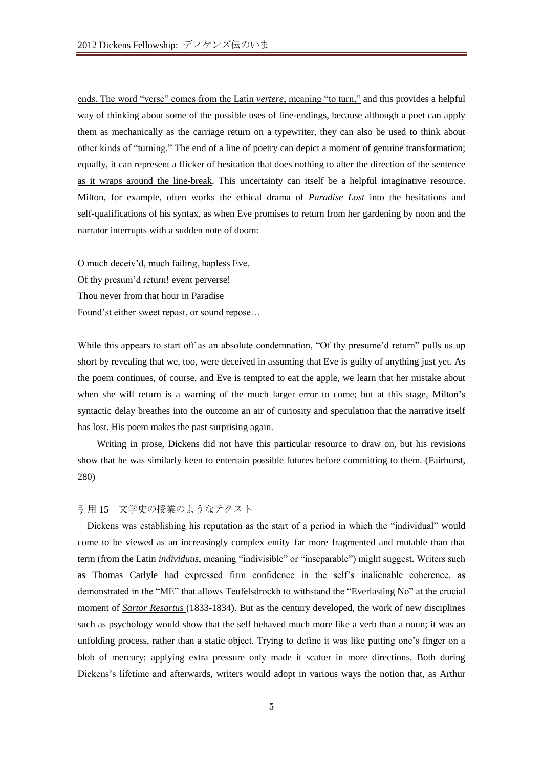ends. The word "verse" comes from the Latin *vertere*, meaning "to turn," and this provides a helpful way of thinking about some of the possible uses of line-endings, because although a poet can apply them as mechanically as the carriage return on a typewriter, they can also be used to think about other kinds of "turning." The end of a line of poetry can depict a moment of genuine transformation; equally, it can represent a flicker of hesitation that does nothing to alter the direction of the sentence as it wraps around the line-break. This uncertainty can itself be a helpful imaginative resource. Milton, for example, often works the ethical drama of *Paradise Lost* into the hesitations and self-qualifications of his syntax, as when Eve promises to return from her gardening by noon and the narrator interrupts with a sudden note of doom:

O much deceiv'd, much failing, hapless Eve, Of thy presum'd return! event perverse! Thou never from that hour in Paradise Found'st either sweet repast, or sound repose…

While this appears to start off as an absolute condemnation, "Of thy presume'd return" pulls us up short by revealing that we, too, were deceived in assuming that Eve is guilty of anything just yet. As the poem continues, of course, and Eve is tempted to eat the apple, we learn that her mistake about when she will return is a warning of the much larger error to come; but at this stage, Milton's syntactic delay breathes into the outcome an air of curiosity and speculation that the narrative itself has lost. His poem makes the past surprising again.

Writing in prose, Dickens did not have this particular resource to draw on, but his revisions show that he was similarly keen to entertain possible futures before committing to them. (Fairhurst, 280)

## 引用 15 文学史の授業のようなテクスト

Dickens was establishing his reputation as the start of a period in which the "individual" would come to be viewed as an increasingly complex entity–far more fragmented and mutable than that term (from the Latin *individuus*, meaning "indivisible" or "inseparable") might suggest. Writers such as Thomas Carlyle had expressed firm confidence in the self's inalienable coherence, as demonstrated in the "ME" that allows Teufelsdrockh to withstand the "Everlasting No" at the crucial moment of *Sartor Resartus* (1833-1834). But as the century developed, the work of new disciplines such as psychology would show that the self behaved much more like a verb than a noun; it was an unfolding process, rather than a static object. Trying to define it was like putting one's finger on a blob of mercury; applying extra pressure only made it scatter in more directions. Both during Dickens's lifetime and afterwards, writers would adopt in various ways the notion that, as Arthur